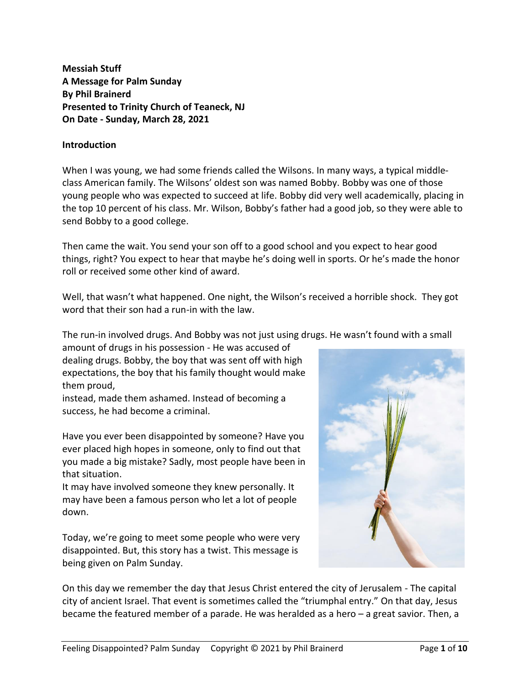**Messiah Stuff A Message for Palm Sunday By Phil Brainerd Presented to Trinity Church of Teaneck, NJ On Date - Sunday, March 28, 2021**

## **Introduction**

When I was young, we had some friends called the Wilsons. In many ways, a typical middleclass American family. The Wilsons' oldest son was named Bobby. Bobby was one of those young people who was expected to succeed at life. Bobby did very well academically, placing in the top 10 percent of his class. Mr. Wilson, Bobby's father had a good job, so they were able to send Bobby to a good college.

Then came the wait. You send your son off to a good school and you expect to hear good things, right? You expect to hear that maybe he's doing well in sports. Or he's made the honor roll or received some other kind of award.

Well, that wasn't what happened. One night, the Wilson's received a horrible shock. They got word that their son had a run-in with the law.

The run-in involved drugs. And Bobby was not just using drugs. He wasn't found with a small

amount of drugs in his possession - He was accused of dealing drugs. Bobby, the boy that was sent off with high expectations, the boy that his family thought would make them proud,

instead, made them ashamed. Instead of becoming a success, he had become a criminal.

Have you ever been disappointed by someone? Have you ever placed high hopes in someone, only to find out that you made a big mistake? Sadly, most people have been in that situation.

It may have involved someone they knew personally. It may have been a famous person who let a lot of people down.

Today, we're going to meet some people who were very disappointed. But, this story has a twist. This message is being given on Palm Sunday.



On this day we remember the day that Jesus Christ entered the city of Jerusalem - The capital city of ancient Israel. That event is sometimes called the "triumphal entry." On that day, Jesus became the featured member of a parade. He was heralded as a hero – a great savior. Then, a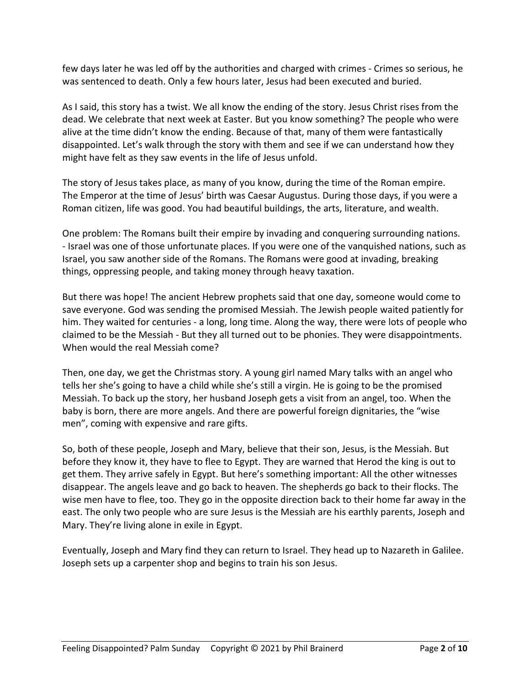few days later he was led off by the authorities and charged with crimes - Crimes so serious, he was sentenced to death. Only a few hours later, Jesus had been executed and buried.

As I said, this story has a twist. We all know the ending of the story. Jesus Christ rises from the dead. We celebrate that next week at Easter. But you know something? The people who were alive at the time didn't know the ending. Because of that, many of them were fantastically disappointed. Let's walk through the story with them and see if we can understand how they might have felt as they saw events in the life of Jesus unfold.

The story of Jesus takes place, as many of you know, during the time of the Roman empire. The Emperor at the time of Jesus' birth was Caesar Augustus. During those days, if you were a Roman citizen, life was good. You had beautiful buildings, the arts, literature, and wealth.

One problem: The Romans built their empire by invading and conquering surrounding nations. - Israel was one of those unfortunate places. If you were one of the vanquished nations, such as Israel, you saw another side of the Romans. The Romans were good at invading, breaking things, oppressing people, and taking money through heavy taxation.

But there was hope! The ancient Hebrew prophets said that one day, someone would come to save everyone. God was sending the promised Messiah. The Jewish people waited patiently for him. They waited for centuries - a long, long time. Along the way, there were lots of people who claimed to be the Messiah - But they all turned out to be phonies. They were disappointments. When would the real Messiah come?

Then, one day, we get the Christmas story. A young girl named Mary talks with an angel who tells her she's going to have a child while she's still a virgin. He is going to be the promised Messiah. To back up the story, her husband Joseph gets a visit from an angel, too. When the baby is born, there are more angels. And there are powerful foreign dignitaries, the "wise men", coming with expensive and rare gifts.

So, both of these people, Joseph and Mary, believe that their son, Jesus, is the Messiah. But before they know it, they have to flee to Egypt. They are warned that Herod the king is out to get them. They arrive safely in Egypt. But here's something important: All the other witnesses disappear. The angels leave and go back to heaven. The shepherds go back to their flocks. The wise men have to flee, too. They go in the opposite direction back to their home far away in the east. The only two people who are sure Jesus is the Messiah are his earthly parents, Joseph and Mary. They're living alone in exile in Egypt.

Eventually, Joseph and Mary find they can return to Israel. They head up to Nazareth in Galilee. Joseph sets up a carpenter shop and begins to train his son Jesus.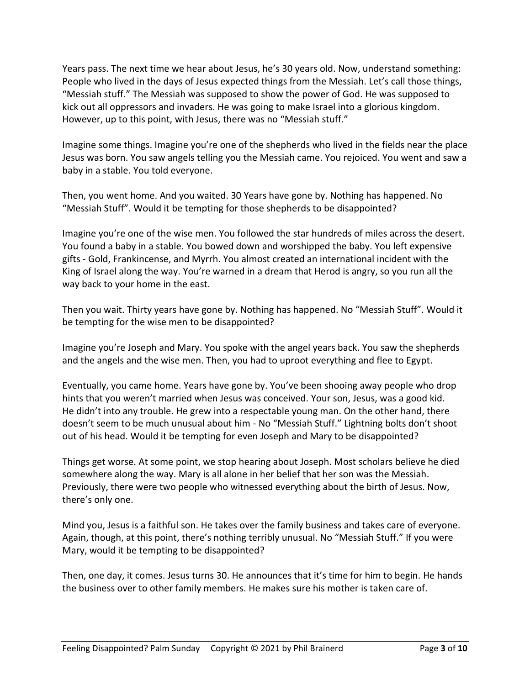Years pass. The next time we hear about Jesus, he's 30 years old. Now, understand something: People who lived in the days of Jesus expected things from the Messiah. Let's call those things, "Messiah stuff." The Messiah was supposed to show the power of God. He was supposed to kick out all oppressors and invaders. He was going to make Israel into a glorious kingdom. However, up to this point, with Jesus, there was no "Messiah stuff."

Imagine some things. Imagine you're one of the shepherds who lived in the fields near the place Jesus was born. You saw angels telling you the Messiah came. You rejoiced. You went and saw a baby in a stable. You told everyone.

Then, you went home. And you waited. 30 Years have gone by. Nothing has happened. No "Messiah Stuff". Would it be tempting for those shepherds to be disappointed?

Imagine you're one of the wise men. You followed the star hundreds of miles across the desert. You found a baby in a stable. You bowed down and worshipped the baby. You left expensive gifts - Gold, Frankincense, and Myrrh. You almost created an international incident with the King of Israel along the way. You're warned in a dream that Herod is angry, so you run all the way back to your home in the east.

Then you wait. Thirty years have gone by. Nothing has happened. No "Messiah Stuff". Would it be tempting for the wise men to be disappointed?

Imagine you're Joseph and Mary. You spoke with the angel years back. You saw the shepherds and the angels and the wise men. Then, you had to uproot everything and flee to Egypt.

Eventually, you came home. Years have gone by. You've been shooing away people who drop hints that you weren't married when Jesus was conceived. Your son, Jesus, was a good kid. He didn't into any trouble. He grew into a respectable young man. On the other hand, there doesn't seem to be much unusual about him - No "Messiah Stuff." Lightning bolts don't shoot out of his head. Would it be tempting for even Joseph and Mary to be disappointed?

Things get worse. At some point, we stop hearing about Joseph. Most scholars believe he died somewhere along the way. Mary is all alone in her belief that her son was the Messiah. Previously, there were two people who witnessed everything about the birth of Jesus. Now, there's only one.

Mind you, Jesus is a faithful son. He takes over the family business and takes care of everyone. Again, though, at this point, there's nothing terribly unusual. No "Messiah Stuff." If you were Mary, would it be tempting to be disappointed?

Then, one day, it comes. Jesus turns 30. He announces that it's time for him to begin. He hands the business over to other family members. He makes sure his mother is taken care of.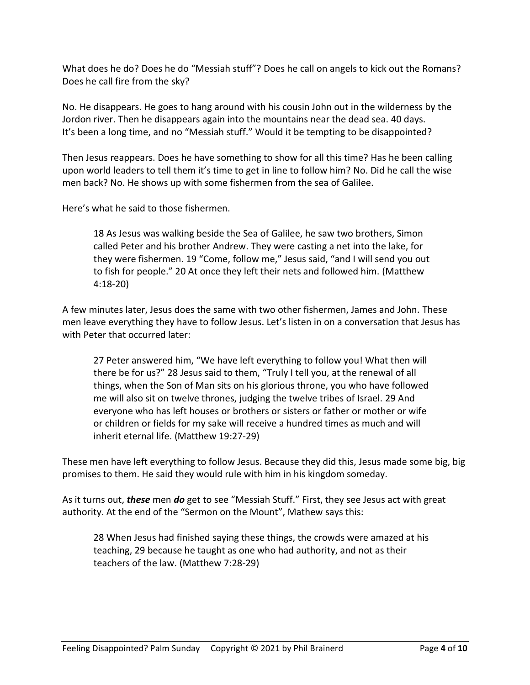What does he do? Does he do "Messiah stuff"? Does he call on angels to kick out the Romans? Does he call fire from the sky?

No. He disappears. He goes to hang around with his cousin John out in the wilderness by the Jordon river. Then he disappears again into the mountains near the dead sea. 40 days. It's been a long time, and no "Messiah stuff." Would it be tempting to be disappointed?

Then Jesus reappears. Does he have something to show for all this time? Has he been calling upon world leaders to tell them it's time to get in line to follow him? No. Did he call the wise men back? No. He shows up with some fishermen from the sea of Galilee.

Here's what he said to those fishermen.

18 As Jesus was walking beside the Sea of Galilee, he saw two brothers, Simon called Peter and his brother Andrew. They were casting a net into the lake, for they were fishermen. 19 "Come, follow me," Jesus said, "and I will send you out to fish for people." 20 At once they left their nets and followed him. (Matthew 4:18-20)

A few minutes later, Jesus does the same with two other fishermen, James and John. These men leave everything they have to follow Jesus. Let's listen in on a conversation that Jesus has with Peter that occurred later:

27 Peter answered him, "We have left everything to follow you! What then will there be for us?" 28 Jesus said to them, "Truly I tell you, at the renewal of all things, when the Son of Man sits on his glorious throne, you who have followed me will also sit on twelve thrones, judging the twelve tribes of Israel. 29 And everyone who has left houses or brothers or sisters or father or mother or wife or children or fields for my sake will receive a hundred times as much and will inherit eternal life. (Matthew 19:27-29)

These men have left everything to follow Jesus. Because they did this, Jesus made some big, big promises to them. He said they would rule with him in his kingdom someday.

As it turns out, *these* men *do* get to see "Messiah Stuff." First, they see Jesus act with great authority. At the end of the "Sermon on the Mount", Mathew says this:

28 When Jesus had finished saying these things, the crowds were amazed at his teaching, 29 because he taught as one who had authority, and not as their teachers of the law. (Matthew 7:28-29)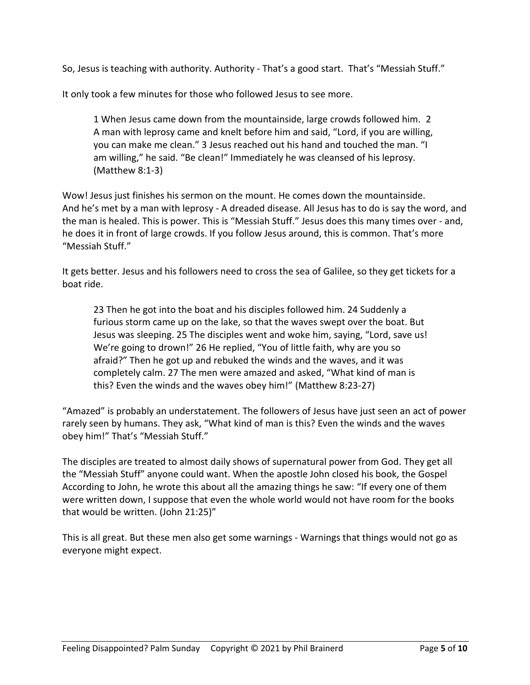So, Jesus is teaching with authority. Authority - That's a good start. That's "Messiah Stuff."

It only took a few minutes for those who followed Jesus to see more.

1 When Jesus came down from the mountainside, large crowds followed him. 2 A man with leprosy came and knelt before him and said, "Lord, if you are willing, you can make me clean." 3 Jesus reached out his hand and touched the man. "I am willing," he said. "Be clean!" Immediately he was cleansed of his leprosy. (Matthew 8:1-3)

Wow! Jesus just finishes his sermon on the mount. He comes down the mountainside. And he's met by a man with leprosy - A dreaded disease. All Jesus has to do is say the word, and the man is healed. This is power. This is "Messiah Stuff." Jesus does this many times over - and, he does it in front of large crowds. If you follow Jesus around, this is common. That's more "Messiah Stuff."

It gets better. Jesus and his followers need to cross the sea of Galilee, so they get tickets for a boat ride.

23 Then he got into the boat and his disciples followed him. 24 Suddenly a furious storm came up on the lake, so that the waves swept over the boat. But Jesus was sleeping. 25 The disciples went and woke him, saying, "Lord, save us! We're going to drown!" 26 He replied, "You of little faith, why are you so afraid?" Then he got up and rebuked the winds and the waves, and it was completely calm. 27 The men were amazed and asked, "What kind of man is this? Even the winds and the waves obey him!" (Matthew 8:23-27)

"Amazed" is probably an understatement. The followers of Jesus have just seen an act of power rarely seen by humans. They ask, "What kind of man is this? Even the winds and the waves obey him!" That's "Messiah Stuff."

The disciples are treated to almost daily shows of supernatural power from God. They get all the "Messiah Stuff" anyone could want. When the apostle John closed his book, the Gospel According to John, he wrote this about all the amazing things he saw: "If every one of them were written down, I suppose that even the whole world would not have room for the books that would be written. (John 21:25)"

This is all great. But these men also get some warnings - Warnings that things would not go as everyone might expect.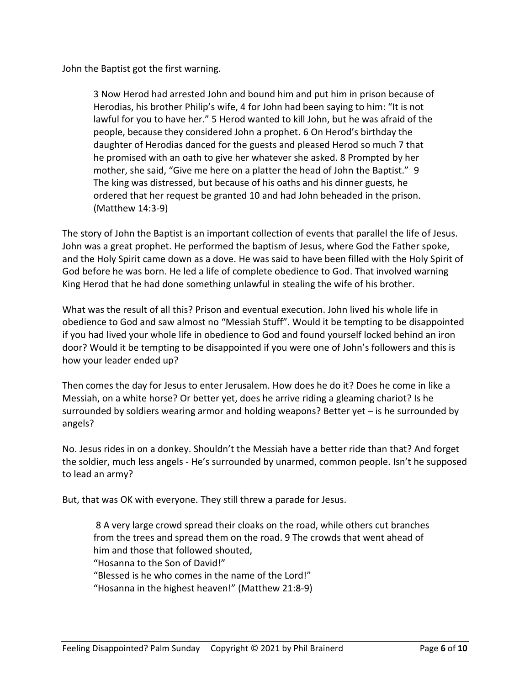John the Baptist got the first warning.

3 Now Herod had arrested John and bound him and put him in prison because of Herodias, his brother Philip's wife, 4 for John had been saying to him: "It is not lawful for you to have her." 5 Herod wanted to kill John, but he was afraid of the people, because they considered John a prophet. 6 On Herod's birthday the daughter of Herodias danced for the guests and pleased Herod so much 7 that he promised with an oath to give her whatever she asked. 8 Prompted by her mother, she said, "Give me here on a platter the head of John the Baptist." 9 The king was distressed, but because of his oaths and his dinner guests, he ordered that her request be granted 10 and had John beheaded in the prison. (Matthew 14:3-9)

The story of John the Baptist is an important collection of events that parallel the life of Jesus. John was a great prophet. He performed the baptism of Jesus, where God the Father spoke, and the Holy Spirit came down as a dove. He was said to have been filled with the Holy Spirit of God before he was born. He led a life of complete obedience to God. That involved warning King Herod that he had done something unlawful in stealing the wife of his brother.

What was the result of all this? Prison and eventual execution. John lived his whole life in obedience to God and saw almost no "Messiah Stuff". Would it be tempting to be disappointed if you had lived your whole life in obedience to God and found yourself locked behind an iron door? Would it be tempting to be disappointed if you were one of John's followers and this is how your leader ended up?

Then comes the day for Jesus to enter Jerusalem. How does he do it? Does he come in like a Messiah, on a white horse? Or better yet, does he arrive riding a gleaming chariot? Is he surrounded by soldiers wearing armor and holding weapons? Better yet – is he surrounded by angels?

No. Jesus rides in on a donkey. Shouldn't the Messiah have a better ride than that? And forget the soldier, much less angels - He's surrounded by unarmed, common people. Isn't he supposed to lead an army?

But, that was OK with everyone. They still threw a parade for Jesus.

8 A very large crowd spread their cloaks on the road, while others cut branches from the trees and spread them on the road. 9 The crowds that went ahead of him and those that followed shouted, "Hosanna to the Son of David!" "Blessed is he who comes in the name of the Lord!" "Hosanna in the highest heaven!" (Matthew 21:8-9)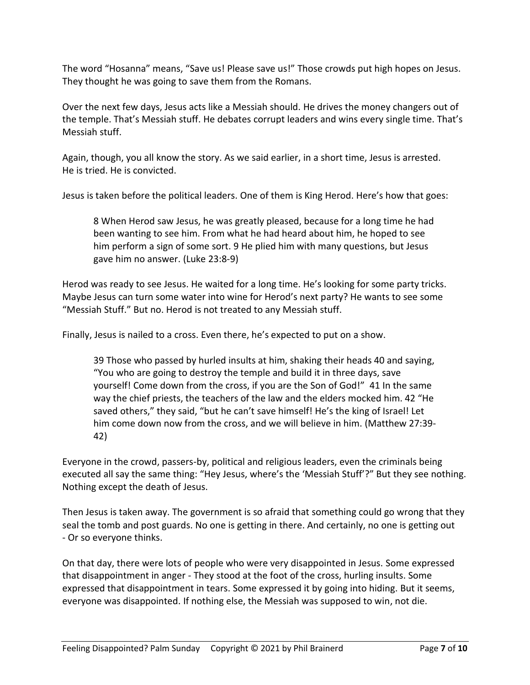The word "Hosanna" means, "Save us! Please save us!" Those crowds put high hopes on Jesus. They thought he was going to save them from the Romans.

Over the next few days, Jesus acts like a Messiah should. He drives the money changers out of the temple. That's Messiah stuff. He debates corrupt leaders and wins every single time. That's Messiah stuff.

Again, though, you all know the story. As we said earlier, in a short time, Jesus is arrested. He is tried. He is convicted.

Jesus is taken before the political leaders. One of them is King Herod. Here's how that goes:

8 When Herod saw Jesus, he was greatly pleased, because for a long time he had been wanting to see him. From what he had heard about him, he hoped to see him perform a sign of some sort. 9 He plied him with many questions, but Jesus gave him no answer. (Luke 23:8-9)

Herod was ready to see Jesus. He waited for a long time. He's looking for some party tricks. Maybe Jesus can turn some water into wine for Herod's next party? He wants to see some "Messiah Stuff." But no. Herod is not treated to any Messiah stuff.

Finally, Jesus is nailed to a cross. Even there, he's expected to put on a show.

39 Those who passed by hurled insults at him, shaking their heads 40 and saying, "You who are going to destroy the temple and build it in three days, save yourself! Come down from the cross, if you are the Son of God!" 41 In the same way the chief priests, the teachers of the law and the elders mocked him. 42 "He saved others," they said, "but he can't save himself! He's the king of Israel! Let him come down now from the cross, and we will believe in him. (Matthew 27:39- 42)

Everyone in the crowd, passers-by, political and religious leaders, even the criminals being executed all say the same thing: "Hey Jesus, where's the 'Messiah Stuff'?" But they see nothing. Nothing except the death of Jesus.

Then Jesus is taken away. The government is so afraid that something could go wrong that they seal the tomb and post guards. No one is getting in there. And certainly, no one is getting out - Or so everyone thinks.

On that day, there were lots of people who were very disappointed in Jesus. Some expressed that disappointment in anger - They stood at the foot of the cross, hurling insults. Some expressed that disappointment in tears. Some expressed it by going into hiding. But it seems, everyone was disappointed. If nothing else, the Messiah was supposed to win, not die.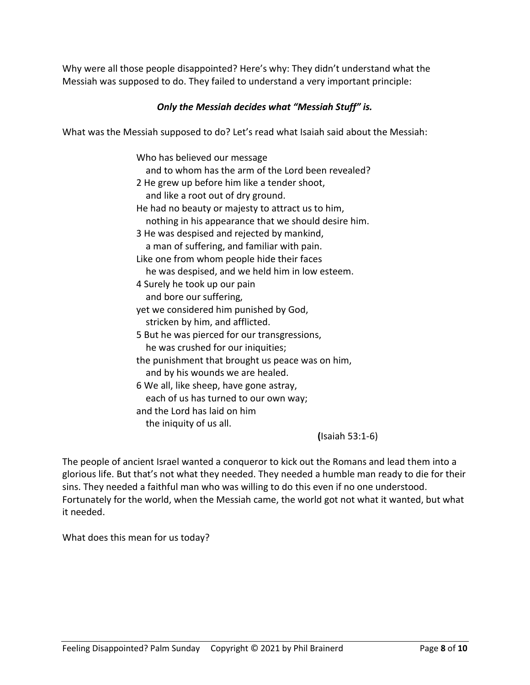Why were all those people disappointed? Here's why: They didn't understand what the Messiah was supposed to do. They failed to understand a very important principle:

## *Only the Messiah decides what "Messiah Stuff" is.*

What was the Messiah supposed to do? Let's read what Isaiah said about the Messiah:

Who has believed our message and to whom has the arm of the Lord been revealed? 2 He grew up before him like a tender shoot, and like a root out of dry ground. He had no beauty or majesty to attract us to him, nothing in his appearance that we should desire him. 3 He was despised and rejected by mankind, a man of suffering, and familiar with pain. Like one from whom people hide their faces he was despised, and we held him in low esteem. 4 Surely he took up our pain and bore our suffering, yet we considered him punished by God, stricken by him, and afflicted. 5 But he was pierced for our transgressions, he was crushed for our iniquities; the punishment that brought us peace was on him, and by his wounds we are healed. 6 We all, like sheep, have gone astray, each of us has turned to our own way; and the Lord has laid on him the iniquity of us all.

**(**Isaiah 53:1-6)

The people of ancient Israel wanted a conqueror to kick out the Romans and lead them into a glorious life. But that's not what they needed. They needed a humble man ready to die for their sins. They needed a faithful man who was willing to do this even if no one understood. Fortunately for the world, when the Messiah came, the world got not what it wanted, but what it needed.

What does this mean for us today?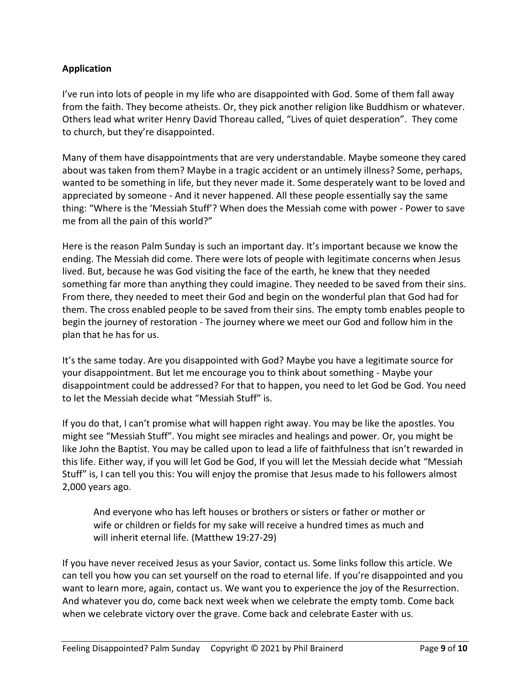## **Application**

I've run into lots of people in my life who are disappointed with God. Some of them fall away from the faith. They become atheists. Or, they pick another religion like Buddhism or whatever. Others lead what writer Henry David Thoreau called, "Lives of quiet desperation". They come to church, but they're disappointed.

Many of them have disappointments that are very understandable. Maybe someone they cared about was taken from them? Maybe in a tragic accident or an untimely illness? Some, perhaps, wanted to be something in life, but they never made it. Some desperately want to be loved and appreciated by someone - And it never happened. All these people essentially say the same thing: "Where is the 'Messiah Stuff'? When does the Messiah come with power - Power to save me from all the pain of this world?"

Here is the reason Palm Sunday is such an important day. It's important because we know the ending. The Messiah did come. There were lots of people with legitimate concerns when Jesus lived. But, because he was God visiting the face of the earth, he knew that they needed something far more than anything they could imagine. They needed to be saved from their sins. From there, they needed to meet their God and begin on the wonderful plan that God had for them. The cross enabled people to be saved from their sins. The empty tomb enables people to begin the journey of restoration - The journey where we meet our God and follow him in the plan that he has for us.

It's the same today. Are you disappointed with God? Maybe you have a legitimate source for your disappointment. But let me encourage you to think about something - Maybe your disappointment could be addressed? For that to happen, you need to let God be God. You need to let the Messiah decide what "Messiah Stuff" is.

If you do that, I can't promise what will happen right away. You may be like the apostles. You might see "Messiah Stuff". You might see miracles and healings and power. Or, you might be like John the Baptist. You may be called upon to lead a life of faithfulness that isn't rewarded in this life. Either way, if you will let God be God, If you will let the Messiah decide what "Messiah Stuff" is, I can tell you this: You will enjoy the promise that Jesus made to his followers almost 2,000 years ago.

And everyone who has left houses or brothers or sisters or father or mother or wife or children or fields for my sake will receive a hundred times as much and will inherit eternal life. (Matthew 19:27-29)

If you have never received Jesus as your Savior, contact us. Some links follow this article. We can tell you how you can set yourself on the road to eternal life. If you're disappointed and you want to learn more, again, contact us. We want you to experience the joy of the Resurrection. And whatever you do, come back next week when we celebrate the empty tomb. Come back when we celebrate victory over the grave. Come back and celebrate Easter with us.